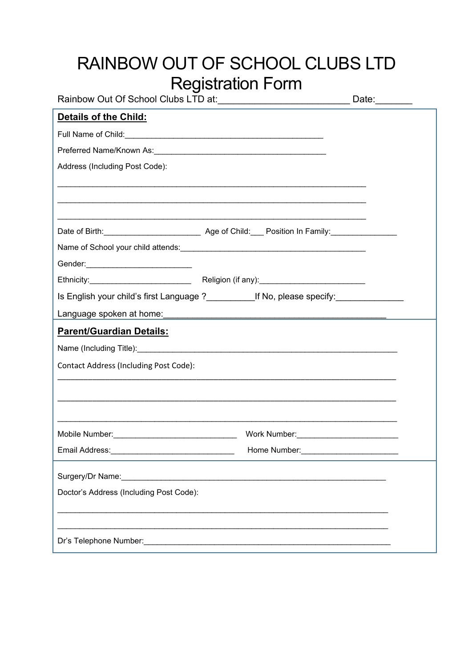| RAINBOW OUT OF SCHOOL CLUBS LTD                                                                                                                                                                                                |                              |  |
|--------------------------------------------------------------------------------------------------------------------------------------------------------------------------------------------------------------------------------|------------------------------|--|
| <b>Registration Form</b>                                                                                                                                                                                                       |                              |  |
| Rainbow Out Of School Clubs LTD at:_________________________________Date:________                                                                                                                                              |                              |  |
| <b>Details of the Child:</b>                                                                                                                                                                                                   |                              |  |
| Full Name of Child: Child: Child: Child: Child: Child: Child: Child: Child: Child: Child: Child: Child: Child: Child: Child: Child: Child: Child: Child: Child: Child: Child: Child: Child: Child: Child: Child: Child: Child: |                              |  |
|                                                                                                                                                                                                                                |                              |  |
| Address (Including Post Code):                                                                                                                                                                                                 |                              |  |
|                                                                                                                                                                                                                                |                              |  |
|                                                                                                                                                                                                                                |                              |  |
|                                                                                                                                                                                                                                |                              |  |
| Name of School your child attends: Manual According to the School and School and School and School and School                                                                                                                  |                              |  |
| Gender: __________________________________                                                                                                                                                                                     |                              |  |
|                                                                                                                                                                                                                                |                              |  |
| Is English your child's first Language ?______________If No, please specify:_______________________                                                                                                                            |                              |  |
|                                                                                                                                                                                                                                |                              |  |
| <b>Parent/Guardian Details:</b>                                                                                                                                                                                                |                              |  |
|                                                                                                                                                                                                                                |                              |  |
|                                                                                                                                                                                                                                |                              |  |
| Contact Address (Including Post Code):                                                                                                                                                                                         |                              |  |
|                                                                                                                                                                                                                                |                              |  |
|                                                                                                                                                                                                                                |                              |  |
|                                                                                                                                                                                                                                |                              |  |
|                                                                                                                                                                                                                                | Work Number: View March 1999 |  |
|                                                                                                                                                                                                                                |                              |  |
| Surgery/Dr Name:                                                                                                                                                                                                               |                              |  |
| Doctor's Address (Including Post Code):                                                                                                                                                                                        |                              |  |
|                                                                                                                                                                                                                                |                              |  |
|                                                                                                                                                                                                                                |                              |  |
|                                                                                                                                                                                                                                |                              |  |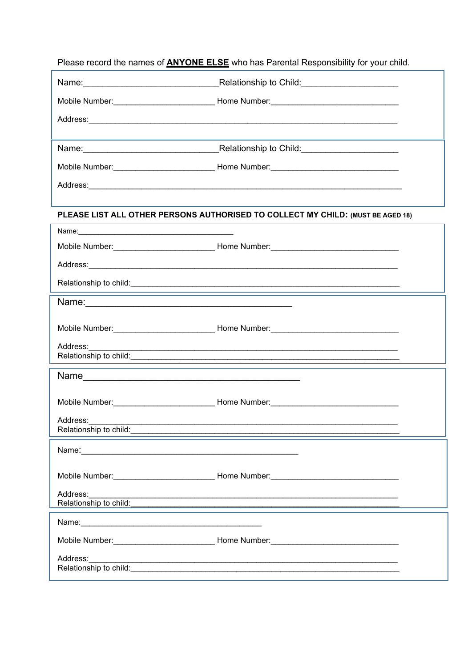Please record the names of **ANYONE ELSE** who has Parental Responsibility for your child.

|                                                                                                                                                                                                                                                            | Name: Name: Name: Name: Name: Name: Name: Name: Name: Name: Name: Name: Name: Name: Name: Name: Name: Name: Name: Name: Name: Name: Name: Name: Name: Name: Name: Name: Name: Name: Name: Name: Name: Name: Name: Name: Name:        |
|------------------------------------------------------------------------------------------------------------------------------------------------------------------------------------------------------------------------------------------------------------|--------------------------------------------------------------------------------------------------------------------------------------------------------------------------------------------------------------------------------------|
|                                                                                                                                                                                                                                                            |                                                                                                                                                                                                                                      |
|                                                                                                                                                                                                                                                            |                                                                                                                                                                                                                                      |
|                                                                                                                                                                                                                                                            | <u> 1989 - Jan Samuel Barbara, margaret a shekara ta 1989 - Anna ann an t-Anna ann an t-Anna ann an t-Anna ann an</u>                                                                                                                |
|                                                                                                                                                                                                                                                            | Name: Name: Name: Name: Name: Name: Name: Name: Name: Name: Name: Name: Name: Name: Name: Name: Name: Name: Name: Name: Name: Name: Name: Name: Name: Name: Name: Name: Name: Name: Name: Name: Name: Name: Name: Name: Name:        |
|                                                                                                                                                                                                                                                            |                                                                                                                                                                                                                                      |
|                                                                                                                                                                                                                                                            | Address: Andreas Address: Address: Address: Address: Address: Address: Address: Address: Address: Address: Address: Address: Address: Address: Address: Address: Address: Address: Address: Address: Address: Address: Address       |
|                                                                                                                                                                                                                                                            | PLEASE LIST ALL OTHER PERSONS AUTHORISED TO COLLECT MY CHILD: (MUST BE AGED 18)                                                                                                                                                      |
|                                                                                                                                                                                                                                                            |                                                                                                                                                                                                                                      |
|                                                                                                                                                                                                                                                            |                                                                                                                                                                                                                                      |
|                                                                                                                                                                                                                                                            |                                                                                                                                                                                                                                      |
|                                                                                                                                                                                                                                                            |                                                                                                                                                                                                                                      |
|                                                                                                                                                                                                                                                            |                                                                                                                                                                                                                                      |
|                                                                                                                                                                                                                                                            |                                                                                                                                                                                                                                      |
|                                                                                                                                                                                                                                                            |                                                                                                                                                                                                                                      |
| Address:__________<br>Relationship to child: <u>contained and contained and contained and contained and contained and contained and contained and contained and contained and contained and contained and contained and contained and contained and co</u> |                                                                                                                                                                                                                                      |
|                                                                                                                                                                                                                                                            |                                                                                                                                                                                                                                      |
|                                                                                                                                                                                                                                                            |                                                                                                                                                                                                                                      |
|                                                                                                                                                                                                                                                            |                                                                                                                                                                                                                                      |
| Relationship to child:                                                                                                                                                                                                                                     |                                                                                                                                                                                                                                      |
| Name: 2008. 2008. 2009. 2009. 2010. 2010. 2010. 2010. 2010. 2010. 2010. 2010. 2010. 2010. 2010. 2010. 2010. 20                                                                                                                                             |                                                                                                                                                                                                                                      |
|                                                                                                                                                                                                                                                            |                                                                                                                                                                                                                                      |
|                                                                                                                                                                                                                                                            |                                                                                                                                                                                                                                      |
| Address:                                                                                                                                                                                                                                                   | Relationship to child: <u>contract and contract and contract and contract and contract and contract and contract and contract and contract and contract and contract and contract and contract and contract and contract and con</u> |
|                                                                                                                                                                                                                                                            |                                                                                                                                                                                                                                      |
| Name: Name: Name: Name: Name: Name: Name: Name: Name: Name: Name: Name: Name: Name: Name: Name: Name: Name: Name: Name: Name: Name: Name: Name: Name: Name: Name: Name: Name: Name: Name: Name: Name: Name: Name: Name: Name:                              |                                                                                                                                                                                                                                      |
|                                                                                                                                                                                                                                                            |                                                                                                                                                                                                                                      |
| Address:                                                                                                                                                                                                                                                   | Relationship to child: <u>Contract Contract Contract Contract Contract Contract Contract Contract Contract Contract Contract Contract Contract Contract Contract Contract Contract Contract Contract Contract Contract Contract </u> |
|                                                                                                                                                                                                                                                            |                                                                                                                                                                                                                                      |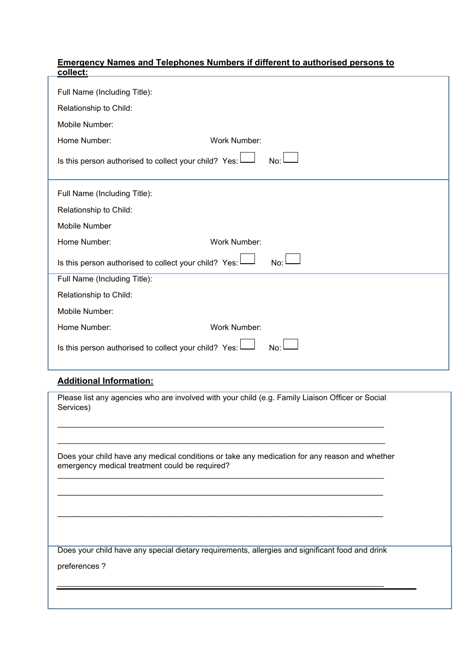## **Emergency Names and Telephones Numbers if different to authorised persons to collect:**

| Full Name (Including Title):                              |              |
|-----------------------------------------------------------|--------------|
| Relationship to Child:                                    |              |
| Mobile Number:                                            |              |
| Home Number:                                              | Work Number: |
| Is this person authorised to collect your child? Yes:     | No:          |
| Full Name (Including Title):                              |              |
| Relationship to Child:                                    |              |
| <b>Mobile Number</b>                                      |              |
| Home Number:                                              | Work Number: |
| Is this person authorised to collect your child? Yes: $L$ | No:          |
| Full Name (Including Title):                              |              |
| Relationship to Child:                                    |              |
| Mobile Number:                                            |              |
| Home Number:                                              | Work Number: |
| Is this person authorised to collect your child? Yes:     | No:          |

## **Additional Information:**

Please list any agencies who are involved with your child (e.g. Family Liaison Officer or Social Services)

\_\_\_\_\_\_\_\_\_\_\_\_\_\_\_\_\_\_\_\_\_\_\_\_\_\_\_\_\_\_\_\_\_\_\_\_\_\_\_\_\_\_\_\_\_\_\_\_\_\_\_\_\_\_\_\_\_\_\_\_\_\_\_\_\_\_\_\_\_\_\_\_\_\_

\_\_\_\_\_\_\_\_\_\_\_\_\_\_\_\_\_\_\_\_\_\_\_\_\_\_\_\_\_\_\_\_\_\_\_\_\_\_\_\_\_\_\_\_\_\_\_\_\_\_\_\_\_\_\_\_\_\_\_\_\_\_\_\_\_\_\_\_\_\_\_\_\_\_\_\_\_\_\_\_\_\_\_

 $\mathcal{L}_\mathcal{L}$  , and the set of the set of the set of the set of the set of the set of the set of the set of the set of the set of the set of the set of the set of the set of the set of the set of the set of the set of th

\_\_\_\_\_\_\_\_\_\_\_\_\_\_\_\_\_\_\_\_\_\_\_\_\_\_\_\_\_\_\_\_\_\_\_\_\_\_\_\_\_\_\_\_\_\_\_\_\_\_\_\_\_\_\_\_\_\_\_\_\_\_\_\_\_\_\_\_\_\_\_\_\_\_\_

\_\_\_\_\_\_\_\_\_\_\_\_\_\_\_\_\_\_\_\_\_\_\_\_\_\_\_\_\_\_\_\_\_\_\_\_\_\_\_\_\_\_\_\_\_\_\_\_\_\_\_\_\_\_\_\_\_\_\_\_\_\_\_\_\_\_\_\_\_\_\_\_\_\_\_

Does your child have any medical conditions or take any medication for any reason and whether emergency medical treatment could be required?

Does your child have any special dietary requirements, allergies and significant food and drink

 $\mathcal{L}_\mathcal{L}$  , and the state of the state of the state of the state of the state of the state of the state of the state of

preferences ?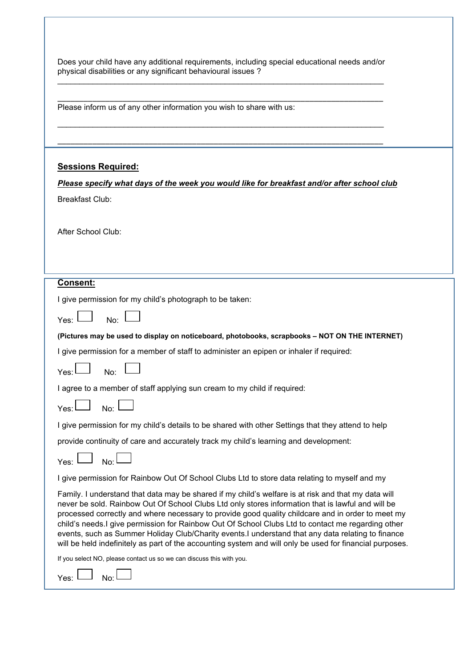| Does your child have any additional requirements, including special educational needs and/or |  |
|----------------------------------------------------------------------------------------------|--|
| physical disabilities or any significant behavioural issues?                                 |  |

| Please inform us of any other information you wish to share with us:                                                                                                                                                                                                                                                                                                                                                                                                                                                                                                                                                                  |
|---------------------------------------------------------------------------------------------------------------------------------------------------------------------------------------------------------------------------------------------------------------------------------------------------------------------------------------------------------------------------------------------------------------------------------------------------------------------------------------------------------------------------------------------------------------------------------------------------------------------------------------|
|                                                                                                                                                                                                                                                                                                                                                                                                                                                                                                                                                                                                                                       |
|                                                                                                                                                                                                                                                                                                                                                                                                                                                                                                                                                                                                                                       |
| <b>Sessions Required:</b>                                                                                                                                                                                                                                                                                                                                                                                                                                                                                                                                                                                                             |
| Please specify what days of the week you would like for breakfast and/or after school club                                                                                                                                                                                                                                                                                                                                                                                                                                                                                                                                            |
| <b>Breakfast Club:</b>                                                                                                                                                                                                                                                                                                                                                                                                                                                                                                                                                                                                                |
|                                                                                                                                                                                                                                                                                                                                                                                                                                                                                                                                                                                                                                       |
| After School Club:                                                                                                                                                                                                                                                                                                                                                                                                                                                                                                                                                                                                                    |
|                                                                                                                                                                                                                                                                                                                                                                                                                                                                                                                                                                                                                                       |
|                                                                                                                                                                                                                                                                                                                                                                                                                                                                                                                                                                                                                                       |
| Consent:                                                                                                                                                                                                                                                                                                                                                                                                                                                                                                                                                                                                                              |
| I give permission for my child's photograph to be taken:                                                                                                                                                                                                                                                                                                                                                                                                                                                                                                                                                                              |
| No:<br>Yes:                                                                                                                                                                                                                                                                                                                                                                                                                                                                                                                                                                                                                           |
| (Pictures may be used to display on noticeboard, photobooks, scrapbooks - NOT ON THE INTERNET)                                                                                                                                                                                                                                                                                                                                                                                                                                                                                                                                        |
| I give permission for a member of staff to administer an epipen or inhaler if required:                                                                                                                                                                                                                                                                                                                                                                                                                                                                                                                                               |
| Yes:<br>No:                                                                                                                                                                                                                                                                                                                                                                                                                                                                                                                                                                                                                           |
| I agree to a member of staff applying sun cream to my child if required:                                                                                                                                                                                                                                                                                                                                                                                                                                                                                                                                                              |
| No:<br>Yes:                                                                                                                                                                                                                                                                                                                                                                                                                                                                                                                                                                                                                           |
| I give permission for my child's details to be shared with other Settings that they attend to help                                                                                                                                                                                                                                                                                                                                                                                                                                                                                                                                    |
| provide continuity of care and accurately track my child's learning and development:                                                                                                                                                                                                                                                                                                                                                                                                                                                                                                                                                  |
| No:<br>Yes: I                                                                                                                                                                                                                                                                                                                                                                                                                                                                                                                                                                                                                         |
| I give permission for Rainbow Out Of School Clubs Ltd to store data relating to myself and my                                                                                                                                                                                                                                                                                                                                                                                                                                                                                                                                         |
| Family. I understand that data may be shared if my child's welfare is at risk and that my data will<br>never be sold. Rainbow Out Of School Clubs Ltd only stores information that is lawful and will be<br>processed correctly and where necessary to provide good quality childcare and in order to meet my<br>child's needs. I give permission for Rainbow Out Of School Clubs Ltd to contact me regarding other<br>events, such as Summer Holiday Club/Charity events. I understand that any data relating to finance<br>will be held indefinitely as part of the accounting system and will only be used for financial purposes. |
| If you select NO, please contact us so we can discuss this with you.                                                                                                                                                                                                                                                                                                                                                                                                                                                                                                                                                                  |
| Yes:<br>No:                                                                                                                                                                                                                                                                                                                                                                                                                                                                                                                                                                                                                           |